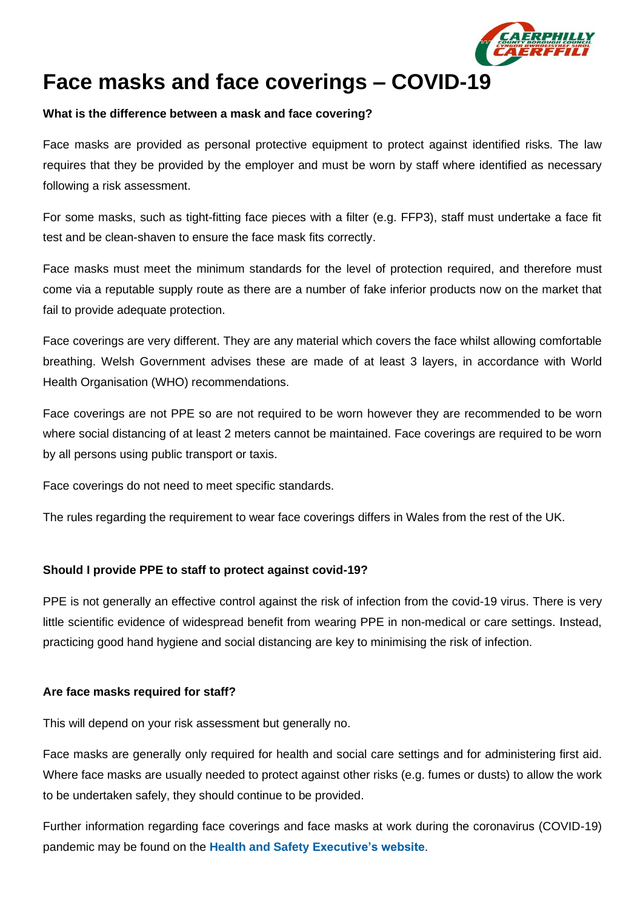

# **Face masks and face coverings – COVID-19**

# **What is the difference between a mask and face covering?**

Face masks are provided as personal protective equipment to protect against identified risks. The law requires that they be provided by the employer and must be worn by staff where identified as necessary following a risk assessment.

For some masks, such as tight-fitting face pieces with a filter (e.g. FFP3), staff must undertake a face fit test and be clean-shaven to ensure the face mask fits correctly.

Face masks must meet the minimum standards for the level of protection required, and therefore must come via a reputable supply route as there are a number of fake inferior products now on the market that fail to provide adequate protection.

Face coverings are very different. They are any material which covers the face whilst allowing comfortable breathing. Welsh Government advises these are made of at least 3 layers, in accordance with World Health Organisation (WHO) recommendations.

Face coverings are not PPE so are not required to be worn however they are recommended to be worn where social distancing of at least 2 meters cannot be maintained. Face coverings are required to be worn by all persons using public transport or taxis.

Face coverings do not need to meet specific standards.

The rules regarding the requirement to wear face coverings differs in Wales from the rest of the UK.

# **Should I provide PPE to staff to protect against covid-19?**

PPE is not generally an effective control against the risk of infection from the covid-19 virus. There is very little scientific evidence of widespread benefit from wearing PPE in non-medical or care settings. Instead, practicing good hand hygiene and social distancing are key to minimising the risk of infection.

#### **Are face masks required for staff?**

This will depend on your risk assessment but generally no.

Face masks are generally only required for health and social care settings and for administering first aid. Where face masks are usually needed to protect against other risks (e.g. fumes or dusts) to allow the work to be undertaken safely, they should continue to be provided.

Further information regarding face coverings and face masks at work during the coronavirus (COVID-19) pandemic may be found on the **[Health and Safety Executive's website](https://www.hse.gov.uk/coronavirus/ppe-face-masks/face-coverings-and-face-masks.htm)**.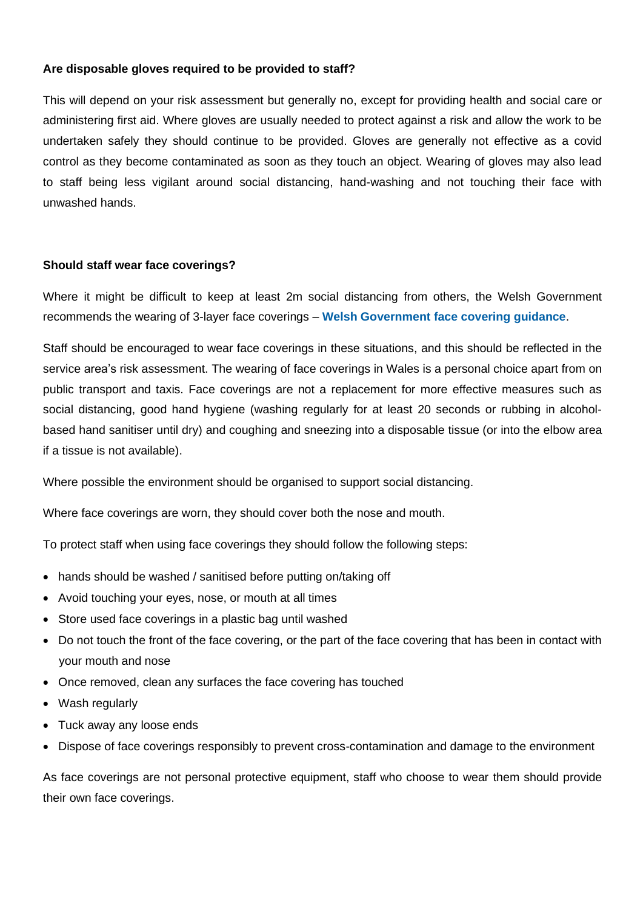# **Are disposable gloves required to be provided to staff?**

This will depend on your risk assessment but generally no, except for providing health and social care or administering first aid. Where gloves are usually needed to protect against a risk and allow the work to be undertaken safely they should continue to be provided. Gloves are generally not effective as a covid control as they become contaminated as soon as they touch an object. Wearing of gloves may also lead to staff being less vigilant around social distancing, hand-washing and not touching their face with unwashed hands.

#### **Should staff wear face coverings?**

Where it might be difficult to keep at least 2m social distancing from others, the Welsh Government recommends the wearing of 3-layer face coverings – **[Welsh Government face covering guidance](https://gov.wales/face-coverings-frequently-asked-questions)**.

Staff should be encouraged to wear face coverings in these situations, and this should be reflected in the service area's risk assessment. The wearing of face coverings in Wales is a personal choice apart from on public transport and taxis. Face coverings are not a replacement for more effective measures such as social distancing, good hand hygiene (washing regularly for at least 20 seconds or rubbing in alcoholbased hand sanitiser until dry) and coughing and sneezing into a disposable tissue (or into the elbow area if a tissue is not available).

Where possible the environment should be organised to support social distancing.

Where face coverings are worn, they should cover both the nose and mouth.

To protect staff when using face coverings they should follow the following steps:

- hands should be washed / sanitised before putting on/taking off
- Avoid touching your eyes, nose, or mouth at all times
- Store used face coverings in a plastic bag until washed
- Do not touch the front of the face covering, or the part of the face covering that has been in contact with your mouth and nose
- Once removed, clean any surfaces the face covering has touched
- Wash regularly
- Tuck away any loose ends
- Dispose of face coverings responsibly to prevent cross-contamination and damage to the environment

As face coverings are not personal protective equipment, staff who choose to wear them should provide their own face coverings.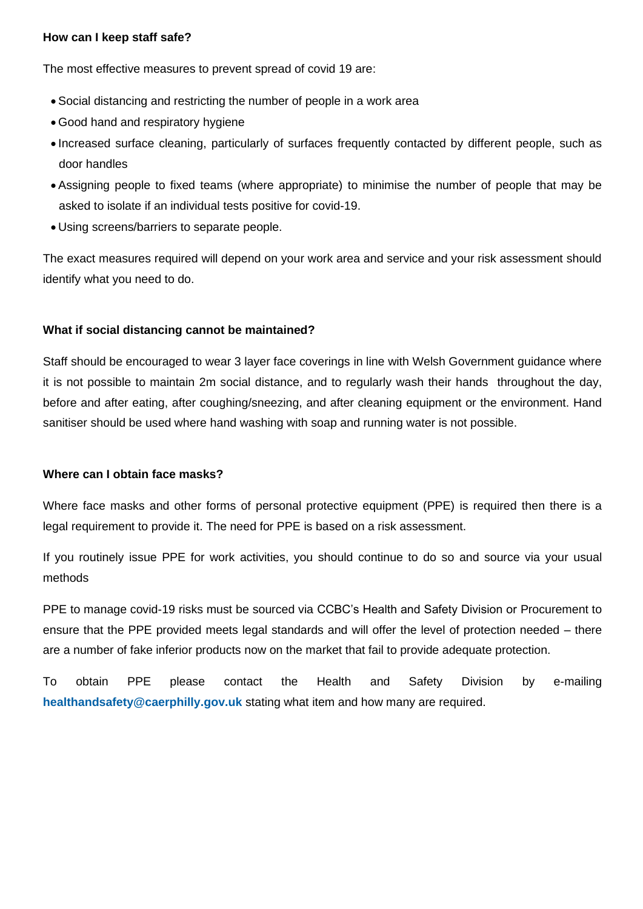## **How can I keep staff safe?**

The most effective measures to prevent spread of covid 19 are:

- Social distancing and restricting the number of people in a work area
- Good hand and respiratory hygiene
- Increased surface cleaning, particularly of surfaces frequently contacted by different people, such as door handles
- Assigning people to fixed teams (where appropriate) to minimise the number of people that may be asked to isolate if an individual tests positive for covid-19.
- Using screens/barriers to separate people.

The exact measures required will depend on your work area and service and your risk assessment should identify what you need to do.

# **What if social distancing cannot be maintained?**

Staff should be encouraged to wear 3 layer face coverings in line with Welsh Government guidance where it is not possible to maintain 2m social distance, and to regularly wash their hands throughout the day, before and after eating, after coughing/sneezing, and after cleaning equipment or the environment. Hand sanitiser should be used where hand washing with soap and running water is not possible.

#### **Where can I obtain face masks?**

Where face masks and other forms of personal protective equipment (PPE) is required then there is a legal requirement to provide it. The need for PPE is based on a risk assessment.

If you routinely issue PPE for work activities, you should continue to do so and source via your usual methods

PPE to manage covid-19 risks must be sourced via CCBC's Health and Safety Division or Procurement to ensure that the PPE provided meets legal standards and will offer the level of protection needed – there are a number of fake inferior products now on the market that fail to provide adequate protection.

To obtain PPE please contact the Health and Safety Division by e-mailing **[healthandsafety@caerphilly.gov.uk](mailto:healthandsafety@caerphilly.gov.uk)** stating what item and how many are required.